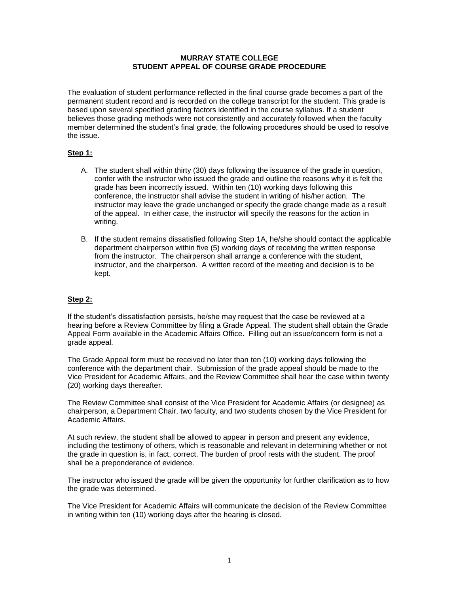## **MURRAY STATE COLLEGE STUDENT APPEAL OF COURSE GRADE PROCEDURE**

The evaluation of student performance reflected in the final course grade becomes a part of the permanent student record and is recorded on the college transcript for the student. This grade is based upon several specified grading factors identified in the course syllabus. If a student believes those grading methods were not consistently and accurately followed when the faculty member determined the student's final grade, the following procedures should be used to resolve the issue.

# **Step 1:**

- A. The student shall within thirty (30) days following the issuance of the grade in question, confer with the instructor who issued the grade and outline the reasons why it is felt the grade has been incorrectly issued. Within ten (10) working days following this conference, the instructor shall advise the student in writing of his/her action. The instructor may leave the grade unchanged or specify the grade change made as a result of the appeal. In either case, the instructor will specify the reasons for the action in writing.
- B. If the student remains dissatisfied following Step 1A, he/she should contact the applicable department chairperson within five (5) working days of receiving the written response from the instructor. The chairperson shall arrange a conference with the student, instructor, and the chairperson. A written record of the meeting and decision is to be kept.

# **Step 2:**

If the student's dissatisfaction persists, he/she may request that the case be reviewed at a hearing before a Review Committee by filing a Grade Appeal. The student shall obtain the Grade Appeal Form available in the Academic Affairs Office. Filling out an issue/concern form is not a grade appeal.

The Grade Appeal form must be received no later than ten (10) working days following the conference with the department chair. Submission of the grade appeal should be made to the Vice President for Academic Affairs, and the Review Committee shall hear the case within twenty (20) working days thereafter.

The Review Committee shall consist of the Vice President for Academic Affairs (or designee) as chairperson, a Department Chair, two faculty, and two students chosen by the Vice President for Academic Affairs.

At such review, the student shall be allowed to appear in person and present any evidence, including the testimony of others, which is reasonable and relevant in determining whether or not the grade in question is, in fact, correct. The burden of proof rests with the student. The proof shall be a preponderance of evidence.

The instructor who issued the grade will be given the opportunity for further clarification as to how the grade was determined.

The Vice President for Academic Affairs will communicate the decision of the Review Committee in writing within ten (10) working days after the hearing is closed.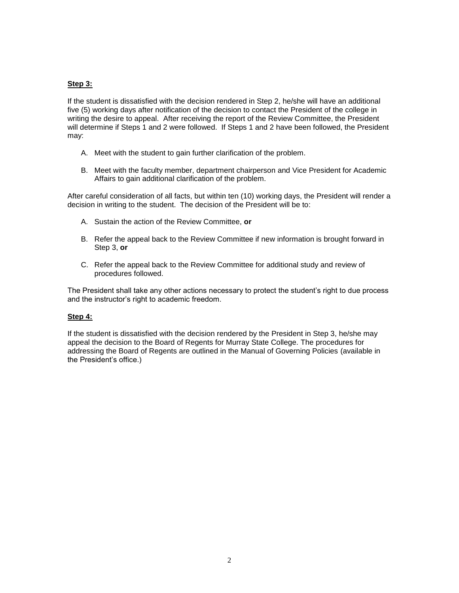## **Step 3:**

If the student is dissatisfied with the decision rendered in Step 2, he/she will have an additional five (5) working days after notification of the decision to contact the President of the college in writing the desire to appeal. After receiving the report of the Review Committee, the President will determine if Steps 1 and 2 were followed. If Steps 1 and 2 have been followed, the President may:

- A. Meet with the student to gain further clarification of the problem.
- B. Meet with the faculty member, department chairperson and Vice President for Academic Affairs to gain additional clarification of the problem.

After careful consideration of all facts, but within ten (10) working days, the President will render a decision in writing to the student. The decision of the President will be to:

- A. Sustain the action of the Review Committee, **or**
- B. Refer the appeal back to the Review Committee if new information is brought forward in Step 3, **or**
- C. Refer the appeal back to the Review Committee for additional study and review of procedures followed.

The President shall take any other actions necessary to protect the student's right to due process and the instructor's right to academic freedom.

#### **Step 4:**

If the student is dissatisfied with the decision rendered by the President in Step 3, he/she may appeal the decision to the Board of Regents for Murray State College. The procedures for addressing the Board of Regents are outlined in the Manual of Governing Policies (available in the President's office.)